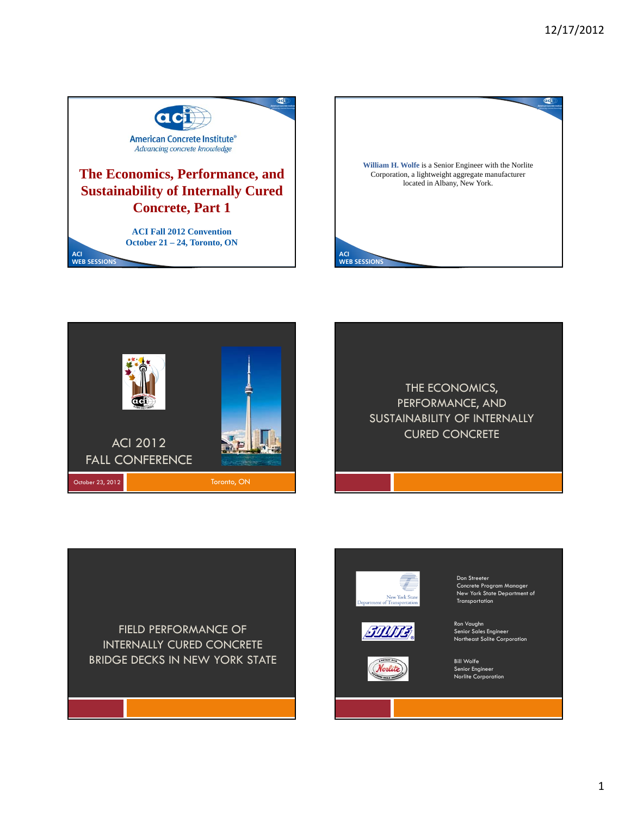





THE ECONOMICS, PERFORMANCE, AND SUSTAINABILITY OF INTERNALLY CURED CONCRETE

FIELD PERFORMANCE OF INTERNALLY CURED CONCRETE

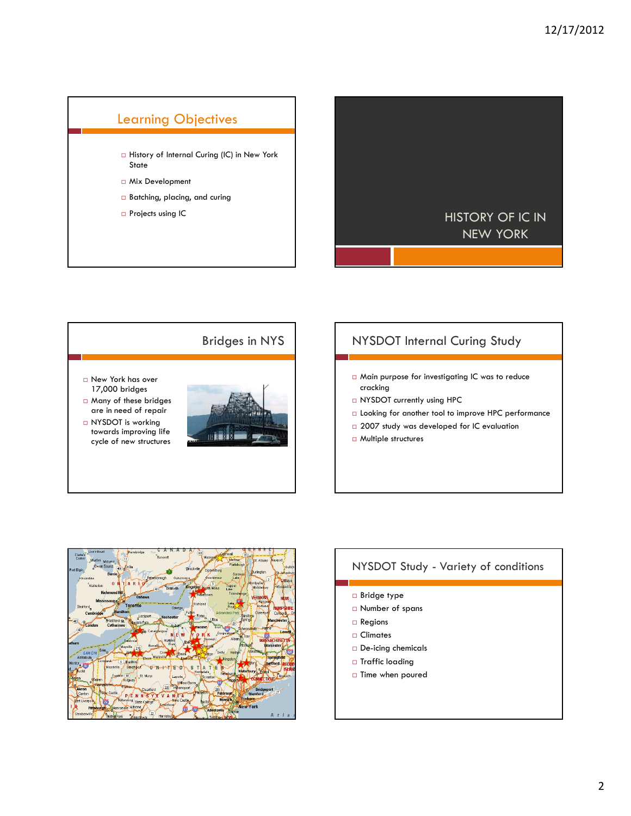# Learning Objectives  $\Box$  History of Internal Curing (IC) in New York State Mix Development Batching, placing, and curing





### NYSDOT Internal Curing Study

- Main purpose for investigating IC was to reduce cracking
- NYSDOT currently using HPC
- Looking for another tool to improve HPC performance
- $\square$  2007 study was developed for IC evaluation
- Multiple structures



# NYSDOT Study - Variety of conditions □ Bridge type Number of spans □ Regions Climates De-icing chemicals □ Traffic loading  $\square$  Time when poured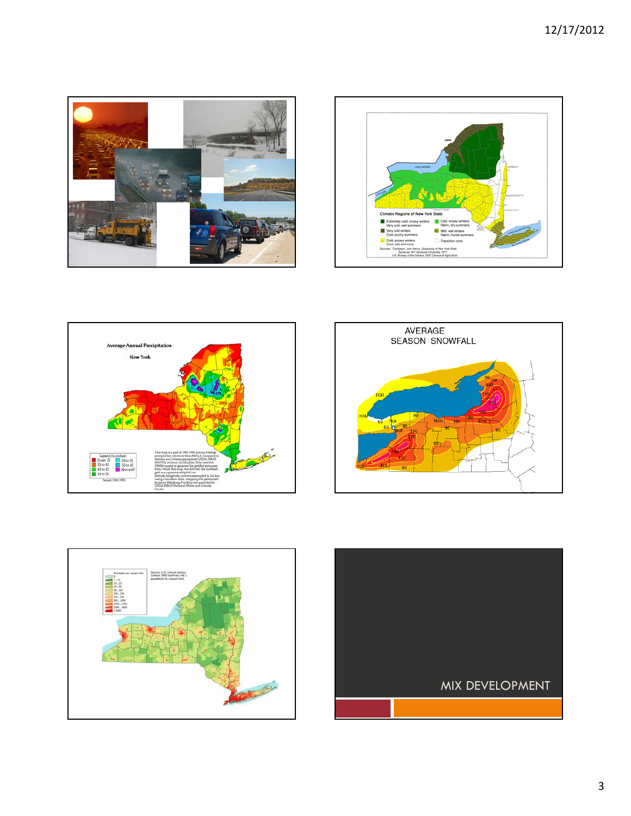









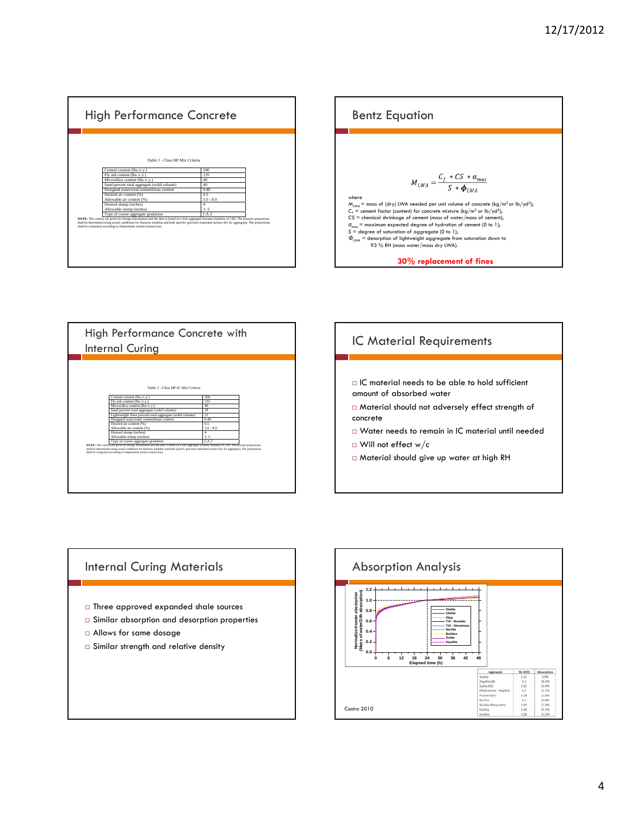









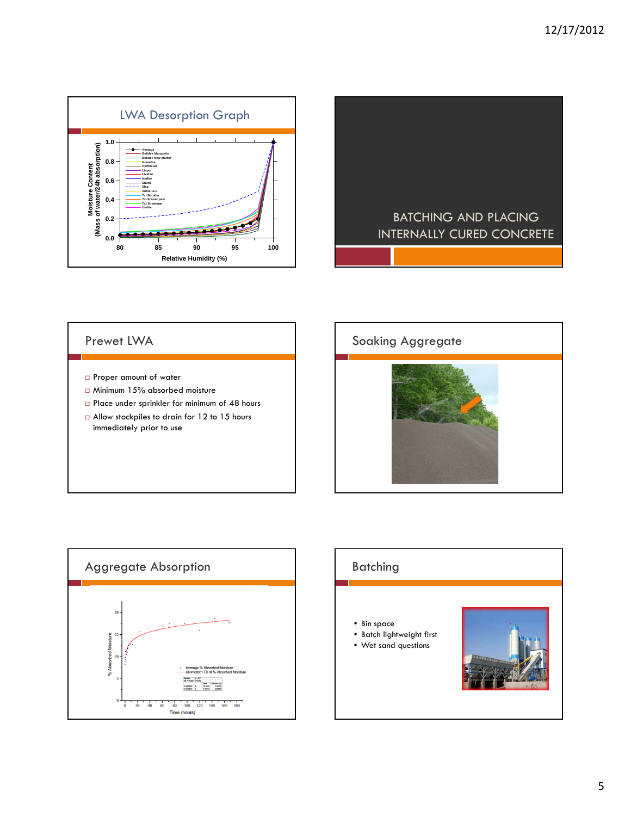



#### Prewet LWA

- Proper amount of water
- Minimum 15% absorbed moisture
- Place under sprinkler for minimum of 48 hours
- □ Allow stockpiles to drain for 12 to 15 hours immediately prior to use





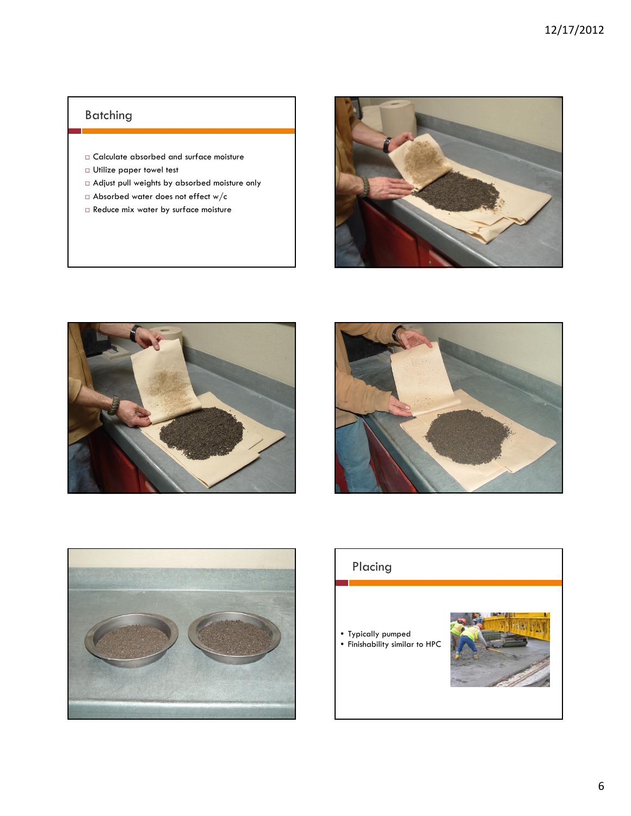## Batching

- Calculate absorbed and surface moisture
- Utilize paper towel test
- Adjust pull weights by absorbed moisture only
- $\Box$  Absorbed water does not effect w/c
- $\Box$  Reduce mix water by surface moisture









## Placing

• Typically pumped • Finishability similar to HPC

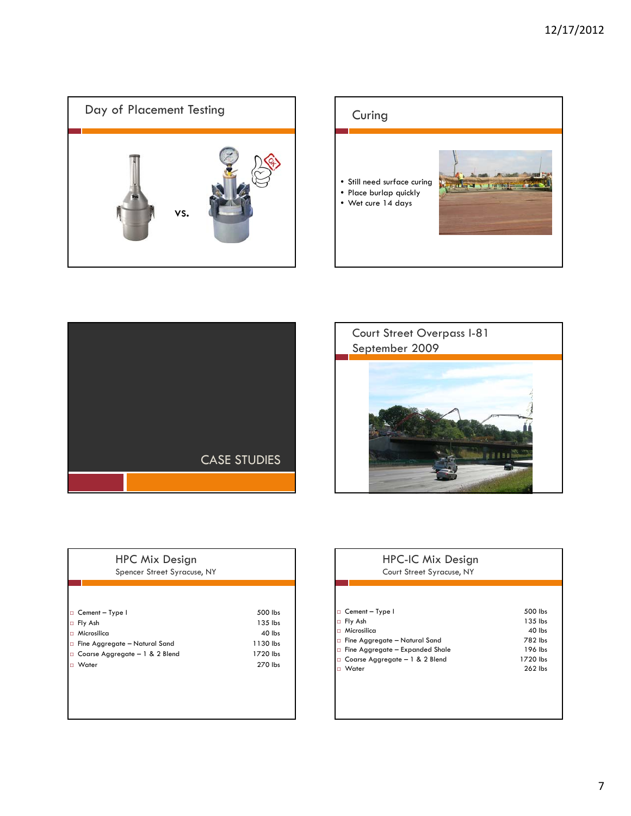







| <b>HPC Mix Design</b><br>Spencer Street Syracuse, NY |          |
|------------------------------------------------------|----------|
|                                                      |          |
| Cement - Type I<br>о                                 | 500 lbs  |
| Fly Ash<br>о                                         | 135 lbs  |
| Microsilica<br>о                                     | 40 lbs   |
| Fine Aggregate - Natural Sand<br>о                   | 1130 lbs |
| Coarse Aggregate - 1 & 2 Blend<br>о                  | 1720 lbs |
| Water                                                | 270 lbs  |
|                                                      |          |
|                                                      |          |
|                                                      |          |

#### HPC-IC Mix Design Court Street Syracuse, NY

| $\Box$ Cement – Type I                 | 500 lbs   |
|----------------------------------------|-----------|
| $\Box$ Fly Ash                         | 135 lbs   |
| $\Box$ Microsilica                     | $40$ lbs  |
| $\Box$ Fine Aggregate - Natural Sand   | 782 lbs   |
| $\Box$ Fine Aggregate – Expanded Shale | 196 lbs   |
| $\Box$ Coarse Aggregate - 1 & 2 Blend  | 1720 lbs  |
| $\Box$ Water                           | $262$ lbs |
|                                        |           |
|                                        |           |
|                                        |           |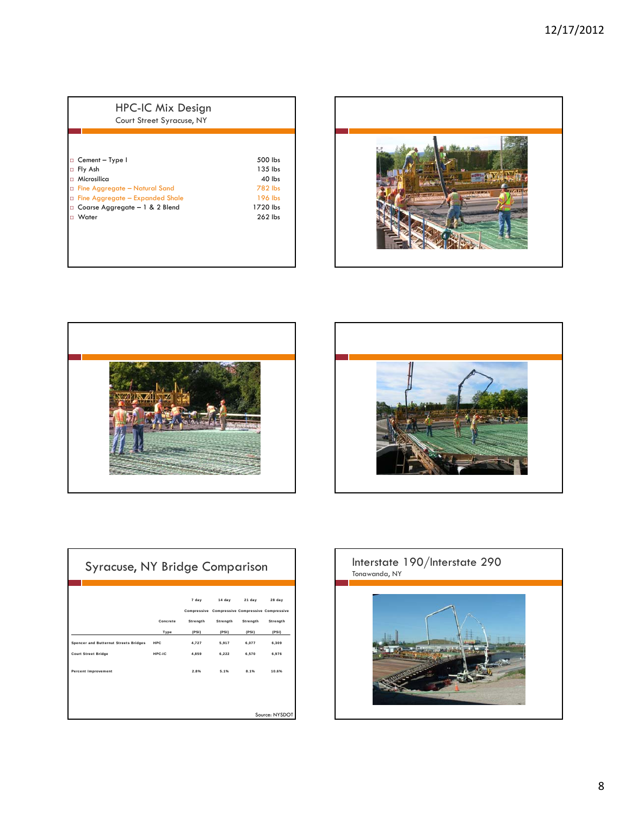| HPC-IC Mix Design<br>Court Street Syracuse, NY |           |
|------------------------------------------------|-----------|
|                                                |           |
|                                                |           |
| Cement - Type I                                | 500 lbs   |
| Fly Ash                                        | $135$ lbs |
| Microsilica                                    | $40$ lbs  |
| □ Fine Aggregate - Natural Sand                | 782 lbs   |
| Fine Aggregate - Expanded Shale                | 196 lbs   |
| □ Coarse Aggregate – 1 & 2 Blend               | 1720 lbs  |
| Water                                          | $262$ lbs |







| 28 day<br>Compressive Compressive Compressive Compressive<br>Strength |
|-----------------------------------------------------------------------|
|                                                                       |
|                                                                       |
| (PSI)                                                                 |
| 6,309                                                                 |
| 6.976                                                                 |
| 10.6%                                                                 |
| Source: NYSDOT                                                        |
|                                                                       |

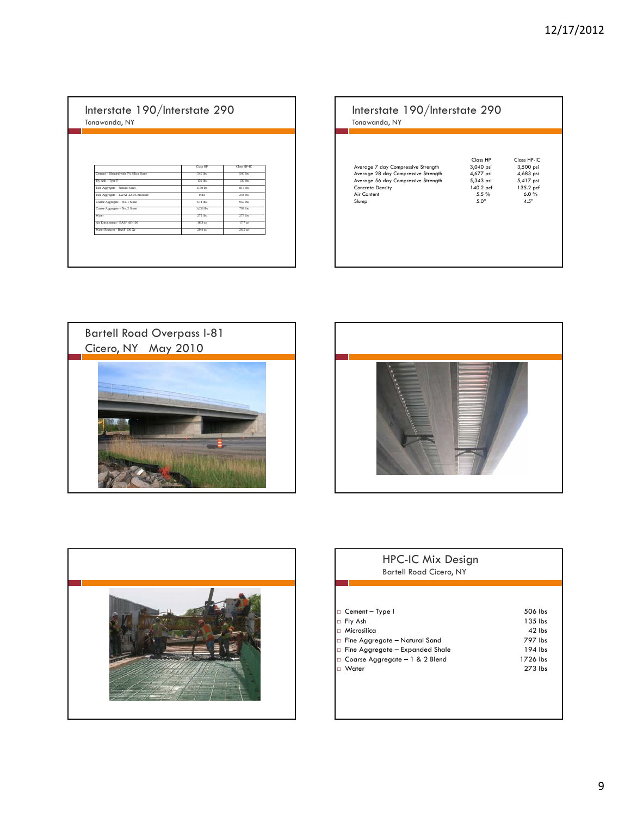Interstate 190/Interstate 290 Tonawanda, NY

|                                      | Class HP  | Class HP.IC |
|--------------------------------------|-----------|-------------|
| Cement - Blended with 7% Silica Fume | 540 lbs   | 540 lbs     |
| Fly Ash - Type F                     | 139 lbs   | 139 lbs     |
| Fine Aggregate - Natural Sand        | 1150 lbs  | 813 lbs     |
| Fine Aggregate - LWAF 22.0% moisture | $0$ lbs   | 244 lbs     |
| Coarse Aggregate - No. 1 Stone       | $674$ lbs | 959 lbs     |
| Coarse Aggregate - No. 2 Stone       | 1.038 lbs | 792 lbs     |
| Water                                | 272 lbs   | 273 lbs     |
| Air Entrainment - BASF AE-100        | $16.3$ oz | $17.7$ oz   |
| Water Reducer - RASE 100 Xr          | $20.4$ oz | 26.5 oz     |

|                                     | Class HP  | Class HP-IC |
|-------------------------------------|-----------|-------------|
| Average 7 day Compressive Strength  | 3,040 psi | 3,500 psi   |
| Average 28 day Compressive Strength | 4,677 psi | 4,683 psi   |
| Average 56 day Compressive Strength | 5,343 psi | 5,417 psi   |
| Concrete Density                    | 140.2 pcf | 135.2 pcf   |
| Air Content                         | $5.5 \%$  | 6.0%        |
| Slump                               | 5.0"      | 4.5"        |







#### HPC-IC Mix Design Bartell Road Cicero, NY

| $\Box$ Cement - Type I                 | 506 lbs   |
|----------------------------------------|-----------|
| □ Fly Ash                              | 135 lbs   |
| $\Box$ Microsilica                     | $42$ lbs  |
| $\Box$ Fine Aggregate - Natural Sand   | 797 lbs   |
| $\Box$ Fine Aggregate - Expanded Shale | 194 lbs   |
| $\Box$ Coarse Aggregate - 1 & 2 Blend  | 1726 lbs  |
| □ Water                                | $273$ lbs |
|                                        |           |
|                                        |           |
|                                        |           |